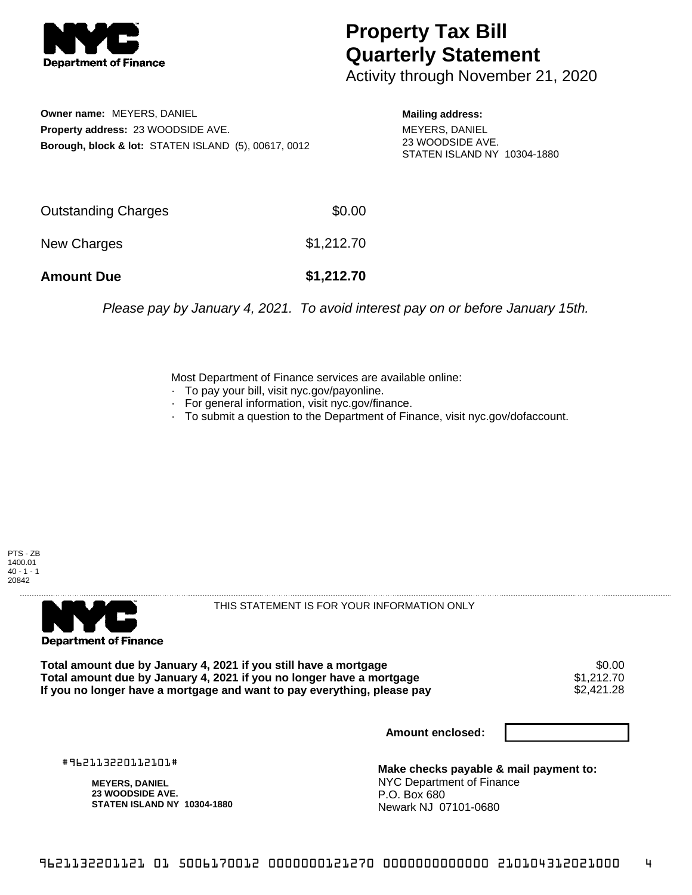

## **Property Tax Bill Quarterly Statement**

Activity through November 21, 2020

**Owner name:** MEYERS, DANIEL **Property address:** 23 WOODSIDE AVE. **Borough, block & lot:** STATEN ISLAND (5), 00617, 0012 **Mailing address:**

MEYERS, DANIEL 23 WOODSIDE AVE. STATEN ISLAND NY 10304-1880

| <b>Amount Due</b>   | \$1,212.70 |
|---------------------|------------|
| New Charges         | \$1,212.70 |
| Outstanding Charges | \$0.00     |

Please pay by January 4, 2021. To avoid interest pay on or before January 15th.

Most Department of Finance services are available online:

- · To pay your bill, visit nyc.gov/payonline.
- For general information, visit nyc.gov/finance.
- · To submit a question to the Department of Finance, visit nyc.gov/dofaccount.

PTS - ZB 1400.01  $40 - 1 - 1$ 20842



THIS STATEMENT IS FOR YOUR INFORMATION ONLY

Total amount due by January 4, 2021 if you still have a mortgage \$0.00<br>Total amount due by January 4, 2021 if you no longer have a mortgage \$1.212.70 **Total amount due by January 4, 2021 if you no longer have a mortgage**  $$1,212.70$ **<br>If you no longer have a mortgage and want to pay everything, please pay**  $$2,421.28$ If you no longer have a mortgage and want to pay everything, please pay

**Amount enclosed:**

#962113220112101#

**MEYERS, DANIEL 23 WOODSIDE AVE. STATEN ISLAND NY 10304-1880**

**Make checks payable & mail payment to:** NYC Department of Finance P.O. Box 680 Newark NJ 07101-0680